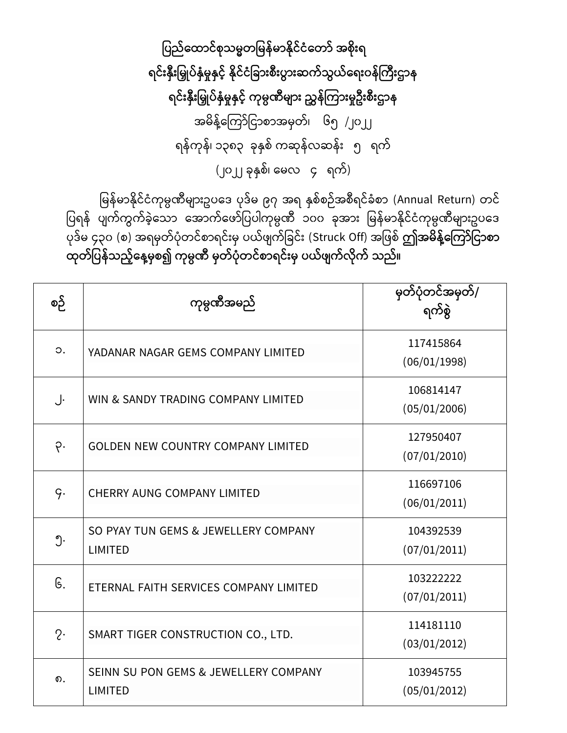ပြည်ထောင်စုသမ္မတမြန်မာနိုင်ငံတော် အစိုးရ ရင်းနှီးမြှုပ်နှံမှုနှင့် နိုင်ငံခြားစီးပွားဆက်သွယ်ရေးဝန်ကြီးဌာန ရင်းနိုးမြှုပ်နှံမှုနှင့် ကုမ္ပဏီများ ညွှန်ကြားမှုဦးစီးဌာန အမိန့်ကြော််ငြာစာအမှတ်၊ ၆၅ /၂၀၂၂ ရန်ကုန်၊ ၁၃၈၃ ခုနှစ် ကဆုန်လဆန်း ၅ ရက် (၂၀၂၂ ခုနှစ်၊ မေလ ၄ ရက်)

မြန်မာနိုင်ငံကုမ္ပဏီများဥပဒေ ပုဒ်မ ၉၇ အရ နှစ်စဉ်အစီရင်ခံစာ (Annual Return) တင် ပြရန် ပျက်ကွက်ခဲ့သော အောက်ဖော်ပြပါကုမ္ပဏီ ၁၀၀ ခုအား မြန်မာနိုင်ငံကုမ္ပဏီများဥပဒေ ပုဒ်မ ၄၃၀ (စ) အရမှတ်ပုံတင်စာရင်းမှ ပယ်ဖျက်ခြင်း (Struck Off) အဖြစ် **ဤအမိန့်ကြော်ငြာစာ ုတ်ပြန်သည့််ထန့်မ္ှစ၍ ကုမ္ပဏ မ္ှတ်ြံုတင်စောရင်ိုးမ္ှ ြယ်ဖ က်လ ုက် သည်။**

| စဉ်            | ကုမ္ပဏီအမည်                                             | မှတ်ပုံတင်အမှတ်/<br>ရက်စွဲ |
|----------------|---------------------------------------------------------|----------------------------|
| $\circ$ .      | YADANAR NAGAR GEMS COMPANY LIMITED                      | 117415864<br>(06/01/1998)  |
| J.             | WIN & SANDY TRADING COMPANY LIMITED                     | 106814147<br>(05/01/2006)  |
| $\varphi$ .    | <b>GOLDEN NEW COUNTRY COMPANY LIMITED</b>               | 127950407<br>(07/01/2010)  |
| q.             | <b>CHERRY AUNG COMPANY LIMITED</b>                      | 116697106<br>(06/01/2011)  |
| ၅.             | SO PYAY TUN GEMS & JEWELLERY COMPANY<br><b>LIMITED</b>  | 104392539<br>(07/01/2011)  |
| G.             | ETERNAL FAITH SERVICES COMPANY LIMITED                  | 103222222<br>(07/01/2011)  |
| 2.             | SMART TIGER CONSTRUCTION CO., LTD.                      | 114181110<br>(03/01/2012)  |
| $\mathbb{O}$ . | SEINN SU PON GEMS & JEWELLERY COMPANY<br><b>LIMITED</b> | 103945755<br>(05/01/2012)  |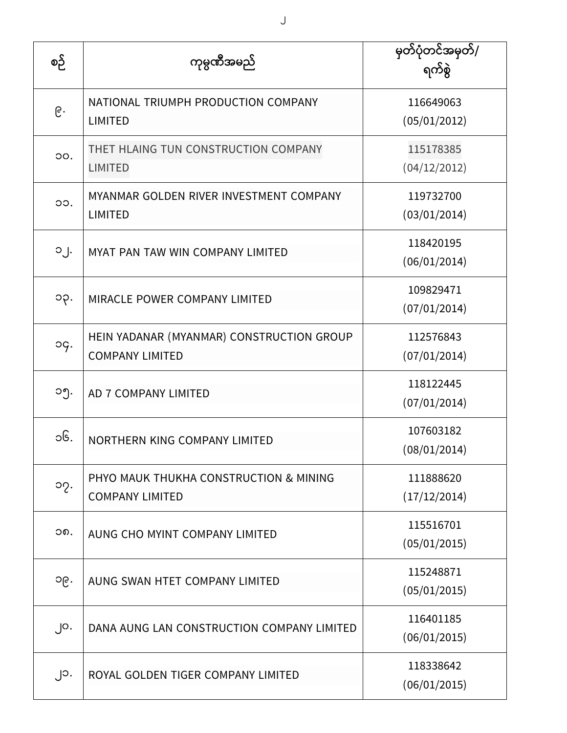| စဉ်     | ကုမ္ပဏီအမည်                                                         | မြတ်ပုံတင်အမှတ်/<br>ရက်စွဲ |
|---------|---------------------------------------------------------------------|----------------------------|
| ၉.      | NATIONAL TRIUMPH PRODUCTION COMPANY<br><b>LIMITED</b>               | 116649063<br>(05/01/2012)  |
| OO.     | THET HLAING TUN CONSTRUCTION COMPANY<br><b>LIMITED</b>              | 115178385<br>(04/12/2012)  |
| OO.     | MYANMAR GOLDEN RIVER INVESTMENT COMPANY<br><b>LIMITED</b>           | 119732700<br>(03/01/2014)  |
| $O_1$ . | MYAT PAN TAW WIN COMPANY LIMITED                                    | 118420195<br>(06/01/2014)  |
| ၁၃.     | MIRACLE POWER COMPANY LIMITED                                       | 109829471<br>(07/01/2014)  |
| og.     | HEIN YADANAR (MYANMAR) CONSTRUCTION GROUP<br><b>COMPANY LIMITED</b> | 112576843<br>(07/01/2014)  |
| ၁၅.     | AD 7 COMPANY LIMITED                                                | 118122445<br>(07/01/2014)  |
| ၁၆.     | NORTHERN KING COMPANY LIMITED                                       | 107603182<br>(08/01/2014)  |
| ၁၇.     | PHYO MAUK THUKHA CONSTRUCTION & MINING<br><b>COMPANY LIMITED</b>    | 111888620<br>(17/12/2014)  |
| ၁၈.     | AUNG CHO MYINT COMPANY LIMITED                                      | 115516701<br>(05/01/2015)  |
| ၁၉.     | AUNG SWAN HTET COMPANY LIMITED                                      | 115248871<br>(05/01/2015)  |
| ၂၀.     | DANA AUNG LAN CONSTRUCTION COMPANY LIMITED                          | 116401185<br>(06/01/2015)  |
| ၂၁.     | ROYAL GOLDEN TIGER COMPANY LIMITED                                  | 118338642<br>(06/01/2015)  |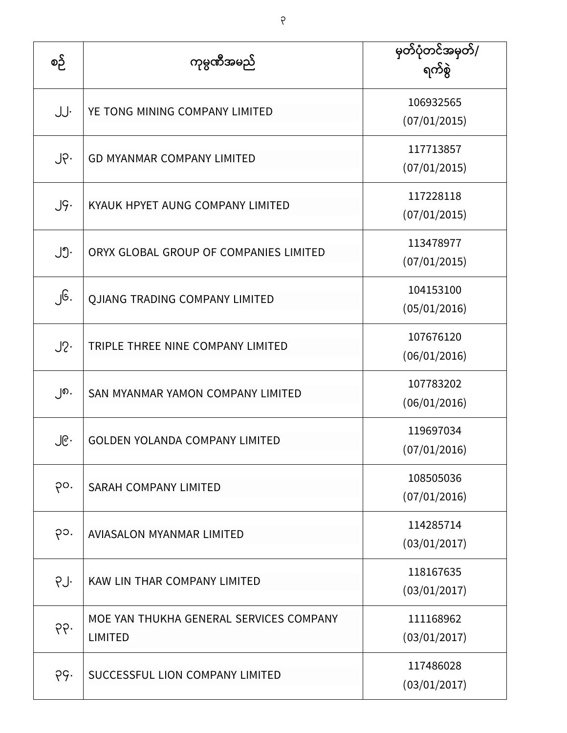| စဉ်    | ကုမ္ပဏီအမည်                                               | မှတ်ပုံတင်အမှတ်/<br>ရက်စွဲ |
|--------|-----------------------------------------------------------|----------------------------|
| JJ.    | YE TONG MINING COMPANY LIMITED                            | 106932565<br>(07/01/2015)  |
| JP.    | <b>GD MYANMAR COMPANY LIMITED</b>                         | 117713857<br>(07/01/2015)  |
| J9.    | KYAUK HPYET AUNG COMPANY LIMITED                          | 117228118<br>(07/01/2015)  |
| ၂၅.    | ORYX GLOBAL GROUP OF COMPANIES LIMITED                    | 113478977<br>(07/01/2015)  |
| ၂၆.    | QJIANG TRADING COMPANY LIMITED                            | 104153100<br>(05/01/2016)  |
| $J2$ . | TRIPLE THREE NINE COMPANY LIMITED                         | 107676120<br>(06/01/2016)  |
| ၂၈.    | SAN MYANMAR YAMON COMPANY LIMITED                         | 107783202<br>(06/01/2016)  |
| ၂၉․    | <b>GOLDEN YOLANDA COMPANY LIMITED</b>                     | 119697034<br>(07/01/2016)  |
| po.    | <b>SARAH COMPANY LIMITED</b>                              | 108505036<br>(07/01/2016)  |
| ၃၁.    | <b>AVIASALON MYANMAR LIMITED</b>                          | 114285714<br>(03/01/2017)  |
| PJ.    | KAW LIN THAR COMPANY LIMITED                              | 118167635<br>(03/01/2017)  |
| og.    | MOE YAN THUKHA GENERAL SERVICES COMPANY<br><b>LIMITED</b> | 111168962<br>(03/01/2017)  |
| ၃၄.    | SUCCESSFUL LION COMPANY LIMITED                           | 117486028<br>(03/01/2017)  |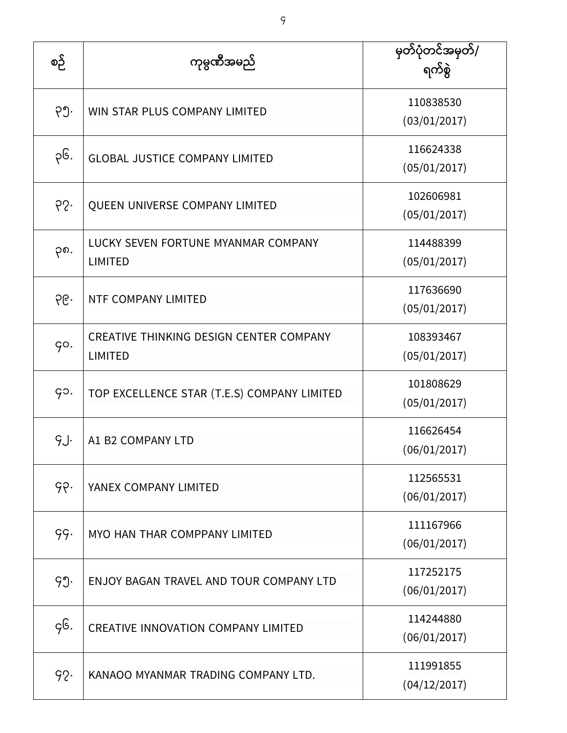| စဉ် | ကုမ္ပဏီအမည်                                                      | မှတ်ပုံတင်အမှတ်/<br>ရက်စွဲ |
|-----|------------------------------------------------------------------|----------------------------|
| ၃၅. | WIN STAR PLUS COMPANY LIMITED                                    | 110838530<br>(03/01/2017)  |
| ၃၆. | <b>GLOBAL JUSTICE COMPANY LIMITED</b>                            | 116624338<br>(05/01/2017)  |
| 65. | QUEEN UNIVERSE COMPANY LIMITED                                   | 102606981<br>(05/01/2017)  |
| ၃၈. | LUCKY SEVEN FORTUNE MYANMAR COMPANY<br><b>LIMITED</b>            | 114488399<br>(05/01/2017)  |
| ၃၉. | <b>NTF COMPANY LIMITED</b>                                       | 117636690<br>(05/01/2017)  |
| go. | <b>CREATIVE THINKING DESIGN CENTER COMPANY</b><br><b>LIMITED</b> | 108393467<br>(05/01/2017)  |
| go. | TOP EXCELLENCE STAR (T.E.S) COMPANY LIMITED                      | 101808629<br>(05/01/2017)  |
| gJ. | A1 B2 COMPANY LTD                                                | 116626454<br>(06/01/2017)  |
| ၄၃. | YANEX COMPANY LIMITED                                            | 112565531<br>(06/01/2017)  |
| 99. | MYO HAN THAR COMPPANY LIMITED                                    | 111167966<br>(06/01/2017)  |
| ၄၅. | ENJOY BAGAN TRAVEL AND TOUR COMPANY LTD                          | 117252175<br>(06/01/2017)  |
| gG. | <b>CREATIVE INNOVATION COMPANY LIMITED</b>                       | 114244880<br>(06/01/2017)  |
| 92. | KANAOO MYANMAR TRADING COMPANY LTD.                              | 111991855<br>(04/12/2017)  |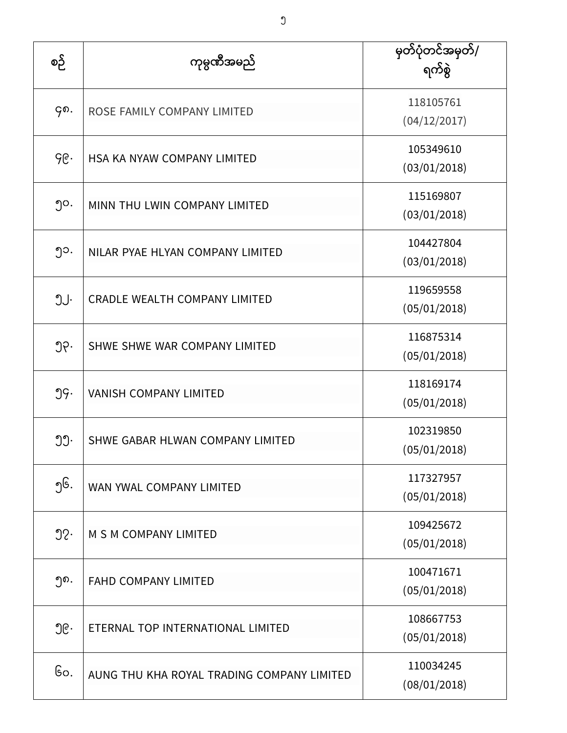| စဉ်              | ကုမ္ပဏီအမည်                                | မှတ်ပုံတင်အမှတ်/<br>ရက်စွဲ |
|------------------|--------------------------------------------|----------------------------|
| ၄၈.              | ROSE FAMILY COMPANY LIMITED                | 118105761<br>(04/12/2017)  |
| ၄၉.              | HSA KA NYAW COMPANY LIMITED                | 105349610<br>(03/01/2018)  |
| ၅၀.              | MINN THU LWIN COMPANY LIMITED              | 115169807<br>(03/01/2018)  |
| ၅၁.              | NILAR PYAE HLYAN COMPANY LIMITED           | 104427804<br>(03/01/2018)  |
| ၅၂.              | <b>CRADLE WEALTH COMPANY LIMITED</b>       | 119659558<br>(05/01/2018)  |
| ၅၃.              | SHWE SHWE WAR COMPANY LIMITED              | 116875314<br>(05/01/2018)  |
| 99.              | <b>VANISH COMPANY LIMITED</b>              | 118169174<br>(05/01/2018)  |
| ၅၅.              | SHWE GABAR HLWAN COMPANY LIMITED           | 102319850<br>(05/01/2018)  |
| ၅၆.              | WAN YWAL COMPANY LIMITED                   | 117327957<br>(05/01/2018)  |
| $\mathfrak{D}$ . | <b>M S M COMPANY LIMITED</b>               | 109425672<br>(05/01/2018)  |
| ၅၈.              | <b>FAHD COMPANY LIMITED</b>                | 100471671<br>(05/01/2018)  |
| ၅၉.              | ETERNAL TOP INTERNATIONAL LIMITED          | 108667753<br>(05/01/2018)  |
| Go.              | AUNG THU KHA ROYAL TRADING COMPANY LIMITED | 110034245<br>(08/01/2018)  |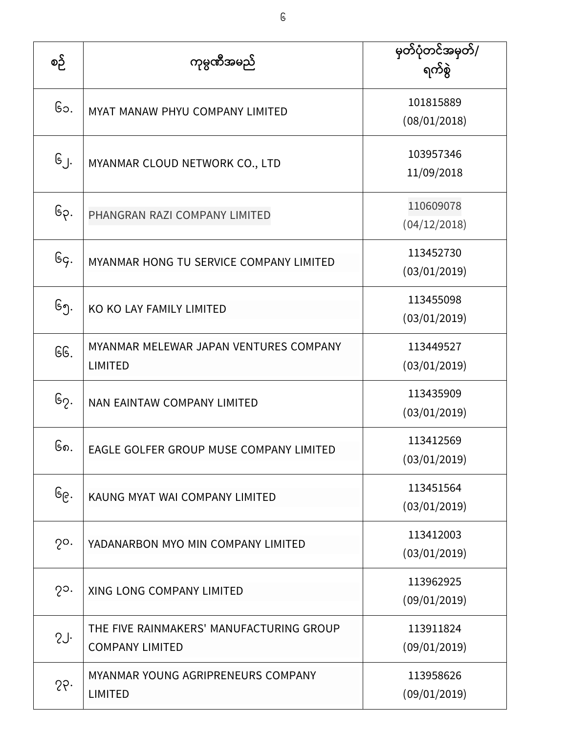| စဉ်           | ကုမ္ပဏီအမည်                                                        | မှတ်ပုံတင်အမှတ်/<br>ရက်စွဲ |
|---------------|--------------------------------------------------------------------|----------------------------|
| ၆၁.           | MYAT MANAW PHYU COMPANY LIMITED                                    | 101815889<br>(08/01/2018)  |
| ၆၂.           | MYANMAR CLOUD NETWORK CO., LTD                                     | 103957346<br>11/09/2018    |
| ၆၃.           | PHANGRAN RAZI COMPANY LIMITED                                      | 110609078<br>(04/12/2018)  |
| ၆၄.           | MYANMAR HONG TU SERVICE COMPANY LIMITED                            | 113452730<br>(03/01/2019)  |
| ၆၅.           | KO KO LAY FAMILY LIMITED                                           | 113455098<br>(03/01/2019)  |
| GG.           | MYANMAR MELEWAR JAPAN VENTURES COMPANY<br><b>LIMITED</b>           | 113449527<br>(03/01/2019)  |
| ၆၇.           | <b>NAN EAINTAW COMPANY LIMITED</b>                                 | 113435909<br>(03/01/2019)  |
| ၆၈.           | EAGLE GOLFER GROUP MUSE COMPANY LIMITED                            | 113412569<br>(03/01/2019)  |
| ၆၉.           | KAUNG MYAT WAI COMPANY LIMITED                                     | 113451564<br>(03/01/2019)  |
| $2^{\circ}$ . | YADANARBON MYO MIN COMPANY LIMITED                                 | 113412003<br>(03/01/2019)  |
| $2^{\circ}$ . | XING LONG COMPANY LIMITED                                          | 113962925<br>(09/01/2019)  |
| 2J            | THE FIVE RAINMAKERS' MANUFACTURING GROUP<br><b>COMPANY LIMITED</b> | 113911824<br>(09/01/2019)  |
| 26            | MYANMAR YOUNG AGRIPRENEURS COMPANY<br><b>LIMITED</b>               | 113958626<br>(09/01/2019)  |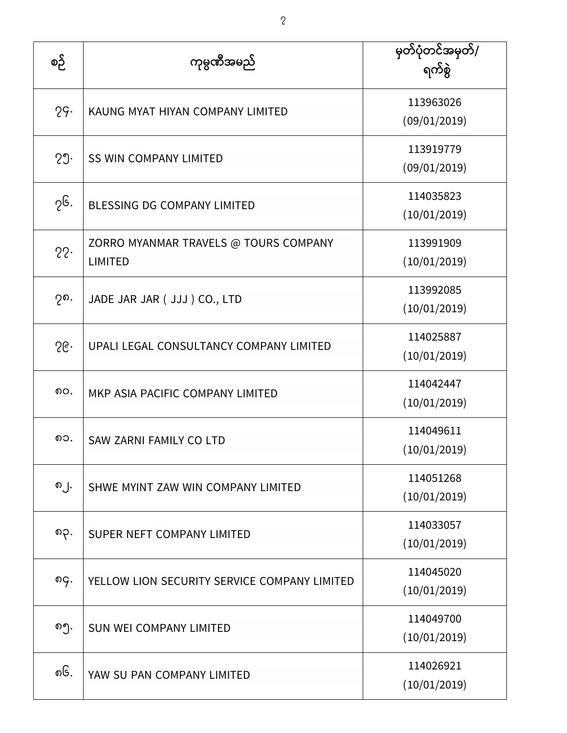| စဉ်   | ကုမ္ပဏီအမည်                                             | မြတ်ပုံတင်အမှတ်/<br>ရက်စွဲ |
|-------|---------------------------------------------------------|----------------------------|
| 29.   | KAUNG MYAT HIYAN COMPANY LIMITED                        | 113963026<br>(09/01/2019)  |
| 29.   | <b>SS WIN COMPANY LIMITED</b>                           | 113919779<br>(09/01/2019)  |
| ၇၆.   | BLESSING DG COMPANY LIMITED                             | 114035823<br>(10/01/2019)  |
| $23-$ | ZORRO MYANMAR TRAVELS @ TOURS COMPANY<br><b>LIMITED</b> | 113991909<br>(10/01/2019)  |
| ၇၈.   | JADE JAR JAR ( JJJ ) CO., LTD                           | 113992085<br>(10/01/2019)  |
| 56.   | UPALI LEGAL CONSULTANCY COMPANY LIMITED                 | 114025887<br>(10/01/2019)  |
| ၈၀.   | MKP ASIA PACIFIC COMPANY LIMITED                        | 114042447<br>(10/01/2019)  |
| ၈၁.   | SAW ZARNI FAMILY CO LTD                                 | 114049611<br>(10/01/2019)  |
| ၈၂.   | SHWE MYINT ZAW WIN COMPANY LIMITED                      | 114051268<br>(10/01/2019)  |
| ၈၃.   | SUPER NEFT COMPANY LIMITED                              | 114033057<br>(10/01/2019)  |
| ၈၄.   | YELLOW LION SECURITY SERVICE COMPANY LIMITED            | 114045020<br>(10/01/2019)  |
| ၈၅.   | SUN WEI COMPANY LIMITED                                 | 114049700<br>(10/01/2019)  |
| ၈၆.   | YAW SU PAN COMPANY LIMITED                              | 114026921<br>(10/01/2019)  |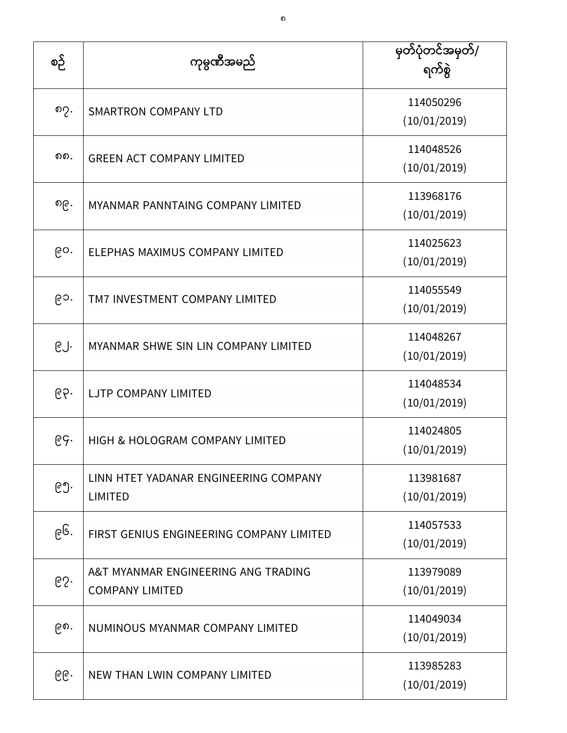| စဉ် | ကုမ္ပဏီအမည်                                                   | မှတ်ပုံတင်အမှတ်/<br>ရက်စွဲ |
|-----|---------------------------------------------------------------|----------------------------|
| ၈၇. | <b>SMARTRON COMPANY LTD</b>                                   | 114050296<br>(10/01/2019)  |
| ດດ. | <b>GREEN ACT COMPANY LIMITED</b>                              | 114048526<br>(10/01/2019)  |
| ၈၉. | MYANMAR PANNTAING COMPANY LIMITED                             | 113968176<br>(10/01/2019)  |
| ၉၀. | ELEPHAS MAXIMUS COMPANY LIMITED                               | 114025623<br>(10/01/2019)  |
| ၉၁. | TM7 INVESTMENT COMPANY LIMITED                                | 114055549<br>(10/01/2019)  |
| ၉၂. | MYANMAR SHWE SIN LIN COMPANY LIMITED                          | 114048267<br>(10/01/2019)  |
| ၉၃. | <b>LJTP COMPANY LIMITED</b>                                   | 114048534<br>(10/01/2019)  |
| ၉၄. | <b>HIGH &amp; HOLOGRAM COMPANY LIMITED</b>                    | 114024805<br>(10/01/2019)  |
| ၉၅. | LINN HTET YADANAR ENGINEERING COMPANY<br><b>LIMITED</b>       | 113981687<br>(10/01/2019)  |
| ၉၆. | FIRST GENIUS ENGINEERING COMPANY LIMITED                      | 114057533<br>(10/01/2019)  |
| 65. | A&T MYANMAR ENGINEERING ANG TRADING<br><b>COMPANY LIMITED</b> | 113979089<br>(10/01/2019)  |
| ၉၈. | NUMINOUS MYANMAR COMPANY LIMITED                              | 114049034<br>(10/01/2019)  |
| ၉၉. | NEW THAN LWIN COMPANY LIMITED                                 | 113985283<br>(10/01/2019)  |